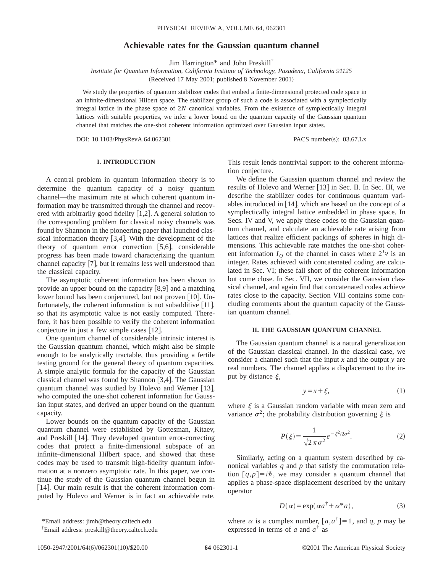# **Achievable rates for the Gaussian quantum channel**

Jim Harrington\* and John Preskill†

*Institute for Quantum Information, California Institute of Technology, Pasadena, California 91125* (Received 17 May 2001; published 8 November 2001)

We study the properties of quantum stabilizer codes that embed a finite-dimensional protected code space in an infinite-dimensional Hilbert space. The stabilizer group of such a code is associated with a symplectically integral lattice in the phase space of 2*N* canonical variables. From the existence of symplectically integral lattices with suitable properties, we infer a lower bound on the quantum capacity of the Gaussian quantum channel that matches the one-shot coherent information optimized over Gaussian input states.

DOI: 10.1103/PhysRevA.64.062301 PACS number(s): 03.67.Lx

## **I. INTRODUCTION**

A central problem in quantum information theory is to determine the quantum capacity of a noisy quantum channel—the maximum rate at which coherent quantum information may be transmitted through the channel and recovered with arbitrarily good fidelity  $[1,2]$ . A general solution to the corresponding problem for classical noisy channels was found by Shannon in the pioneering paper that launched classical information theory  $[3,4]$ . With the development of the theory of quantum error correction  $[5,6]$ , considerable progress has been made toward characterizing the quantum channel capacity  $[7]$ , but it remains less well understood than the classical capacity.

The asymptotic coherent information has been shown to provide an upper bound on the capacity  $[8,9]$  and a matching lower bound has been conjectured, but not proven  $[10]$ . Unfortunately, the coherent information is not subadditive  $[11]$ , so that its asymptotic value is not easily computed. Therefore, it has been possible to verify the coherent information conjecture in just a few simple cases  $[12]$ .

One quantum channel of considerable intrinsic interest is the Gaussian quantum channel, which might also be simple enough to be analytically tractable, thus providing a fertile testing ground for the general theory of quantum capacities. A simple analytic formula for the capacity of the Gaussian classical channel was found by Shannon  $[3,4]$ . The Gaussian quantum channel was studied by Holevo and Werner  $[13]$ , who computed the one-shot coherent information for Gaussian input states, and derived an upper bound on the quantum capacity.

Lower bounds on the quantum capacity of the Gaussian quantum channel were established by Gottesman, Kitaev, and Preskill  $[14]$ . They developed quantum error-correcting codes that protect a finite-dimensional subspace of an infinite-dimensional Hilbert space, and showed that these codes may be used to transmit high-fidelity quantum information at a nonzero asymptotic rate. In this paper, we continue the study of the Gaussian quantum channel begun in [14]. Our main result is that the coherent information computed by Holevo and Werner is in fact an achievable rate.

This result lends nontrivial support to the coherent information conjecture.

We define the Gaussian quantum channel and review the results of Holevo and Werner [13] in Sec. II. In Sec. III, we describe the stabilizer codes for continuous quantum variables introduced in  $[14]$ , which are based on the concept of a symplectically integral lattice embedded in phase space. In Secs. IV and V, we apply these codes to the Gaussian quantum channel, and calculate an achievable rate arising from lattices that realize efficient packings of spheres in high dimensions. This achievable rate matches the one-shot coherent information  $I_Q$  of the channel in cases where  $2^{I_Q}$  is an integer. Rates achieved with concatenated coding are calculated in Sec. VI; these fall short of the coherent information but come close. In Sec. VII, we consider the Gaussian classical channel, and again find that concatenated codes achieve rates close to the capacity. Section VIII contains some concluding comments about the quantum capacity of the Gaussian quantum channel.

### **II. THE GAUSSIAN QUANTUM CHANNEL**

The Gaussian quantum channel is a natural generalization of the Gaussian classical channel. In the classical case, we consider a channel such that the input *x* and the output *y* are real numbers. The channel applies a displacement to the input by distance  $\xi$ ,

$$
y = x + \xi,\tag{1}
$$

where  $\xi$  is a Gaussian random variable with mean zero and variance  $\sigma^2$ ; the probability distribution governing  $\xi$  is

$$
P(\xi) = \frac{1}{\sqrt{2\pi\sigma^2}} e^{-\xi^2/2\sigma^2}.
$$
 (2)

Similarly, acting on a quantum system described by canonical variables *q* and *p* that satisfy the commutation relation  $[q, p] = i\hbar$ , we may consider a quantum channel that applies a phase-space displacement described by the unitary operator

$$
D(\alpha) = \exp(\alpha a^{\dagger} + \alpha^* a), \tag{3}
$$

where  $\alpha$  is a complex number,  $[a, a^{\dagger}] = 1$ , and  $q$ ,  $p$  may be expressed in terms of *a* and *a*† as

<sup>\*</sup>Email address: jimh@theory.caltech.edu

<sup>†</sup> Email address: preskill@theory.caltech.edu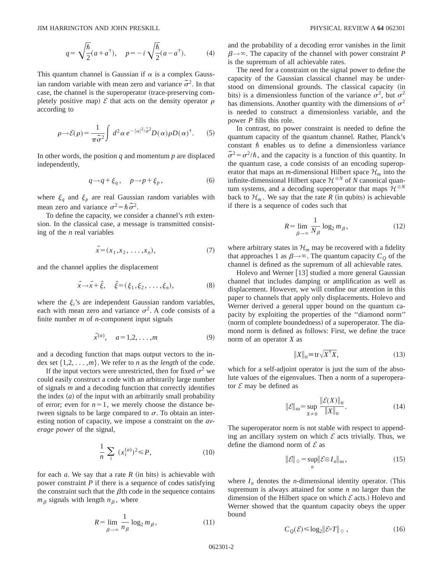$$
q = \sqrt{\frac{\hbar}{2}}(a + a^{\dagger}), \quad p = -i\sqrt{\frac{\hbar}{2}}(a - a^{\dagger}). \tag{4}
$$

This quantum channel is Gaussian if  $\alpha$  is a complex Gaussian random variable with mean zero and variance  $\tilde{\sigma}^2$ . In that case, the channel is the superoperator (trace-preserving completely positive map)  $\mathcal E$  that acts on the density operator  $\rho$ according to

$$
\rho \rightarrow \mathcal{E}(\rho) = \frac{1}{\pi \tilde{\sigma}^2} \int d^2 \alpha \, e^{-|\alpha|^2 / \tilde{\sigma}^2} D(\alpha) \rho D(\alpha)^\dagger. \tag{5}
$$

In other words, the position *q* and momentum *p* are displaced independently,

$$
q \to q + \xi_q, \quad p \to p + \xi_p, \tag{6}
$$

where  $\xi_q$  and  $\xi_p$  are real Gaussian random variables with mean zero and variance  $\sigma^2 = \hbar \tilde{\sigma}^2$ .

To define the capacity, we consider a channel's *n*th extension. In the classical case, a message is transmitted consisting of the *n* real variables

$$
\vec{x} = (x_1, x_2, \dots, x_n), \tag{7}
$$

and the channel applies the displacement

$$
\vec{x} \to \vec{x} + \vec{\xi}, \quad \vec{\xi} = (\xi_1, \xi_2, \dots, \xi_n), \tag{8}
$$

where the  $\xi_i$ 's are independent Gaussian random variables, each with mean zero and variance  $\sigma^2$ . A code consists of a finite number *m* of *n*-component input signals

$$
\vec{x}^{(a)}, \quad a=1,2,\ldots,m
$$
 (9)

and a decoding function that maps output vectors to the index set  $\{1,2,\ldots,m\}$ . We refer to *n* as the *length* of the code.

If the input vectors were unrestricted, then for fixed  $\sigma^2$  we could easily construct a code with an arbitrarily large number of signals *m* and a decoding function that correctly identifies the index  $(a)$  of the input with an arbitrarily small probability of error; even for  $n=1$ , we merely choose the distance between signals to be large compared to  $\sigma$ . To obtain an interesting notion of capacity, we impose a constraint on the *average power* of the signal,

$$
\frac{1}{n}\sum_{i} (x_i^{(a)})^2 \le P,\tag{10}
$$

for each  $a$ . We say that a rate  $R$  (in bits) is achievable with power constraint *P* if there is a sequence of codes satisfying the constraint such that the  $\beta$ th code in the sequence contains  $m_\beta$  signals with length  $n_\beta$ , where

$$
R = \lim_{\beta \to \infty} \frac{1}{n_{\beta}} \log_2 m_{\beta},\tag{11}
$$

and the probability of a decoding error vanishes in the limit  $\beta \rightarrow \infty$ . The capacity of the channel with power constraint *P* is the supremum of all achievable rates.

The need for a constraint on the signal power to define the capacity of the Gaussian classical channel may be understood on dimensional grounds. The classical capacity (in bits) is a dimensionless function of the variance  $\sigma^2$ , but  $\sigma^2$ has dimensions. Another quantity with the dimensions of  $\sigma^2$ is needed to construct a dimensionless variable, and the power *P* fills this role.

In contrast, no power constraint is needed to define the quantum capacity of the quantum channel. Rather, Planck's constant  $\hbar$  enables us to define a dimensionless variance  $\tilde{\sigma}^2 = \sigma^2/\hbar$ , and the capacity is a function of this quantity. In the quantum case, a code consists of an encoding superoperator that maps an *m*-dimensional Hilbert space  $\mathcal{H}_m$  into the infinite-dimensional Hilbert space  $\mathcal{H}^{\otimes N}$  of  $\tilde{N}$  canonical quantum systems, and a decoding superoperator that maps  $\mathcal{H}^{\otimes N}$ back to  $\mathcal{H}_m$ . We say that the rate *R* (in qubits) is achievable if there is a sequence of codes such that

$$
R = \lim_{\beta \to \infty} \frac{1}{N_{\beta}} \log_2 m_{\beta},\tag{12}
$$

where arbitrary states in  $\mathcal{H}_m$  may be recovered with a fidelity that approaches 1 as  $\beta \rightarrow \infty$ . The quantum capacity  $C_Q$  of the channel is defined as the supremum of all achievable rates.

Holevo and Werner [13] studied a more general Gaussian channel that includes damping or amplification as well as displacement. However, we will confine our attention in this paper to channels that apply only displacements. Holevo and Werner derived a general upper bound on the quantum capacity by exploiting the properties of the ''diamond norm'' (norm of complete boundedness) of a superoperator. The diamond norm is defined as follows: First, we define the trace norm of an operator *X* as

$$
||X||_{\text{tr}} = \text{tr}\sqrt{X^{\dagger}X},\tag{13}
$$

which for a self-adjoint operator is just the sum of the absolute values of the eigenvalues. Then a norm of a superoperator  $\mathcal E$  may be defined as

$$
\|\mathcal{E}\|_{\text{so}} = \sup_{X \neq 0} \frac{\|\mathcal{E}(X)\|_{\text{tr}}}{\|X\|_{\text{tr}}}.
$$
 (14)

The superoperator norm is not stable with respect to appending an ancillary system on which  $\mathcal E$  acts trivially. Thus, we define the diamond norm of  $\mathcal E$  as

$$
\|\mathcal{E}\|_{\diamondsuit} = \sup_{n} \|\mathcal{E} \otimes I_{n}\|_{\text{so}},\tag{15}
$$

where  $I_n$  denotes the *n*-dimensional identity operator. (This supremum is always attained for some *n* no larger than the dimension of the Hilbert space on which  $\mathcal E$  acts.) Holevo and Werner showed that the quantum capacity obeys the upper bound

$$
C_{\mathcal{Q}}(\mathcal{E}) \le \log_2 \lVert \mathcal{E} \circ T \rVert_{\diamondsuit},\tag{16}
$$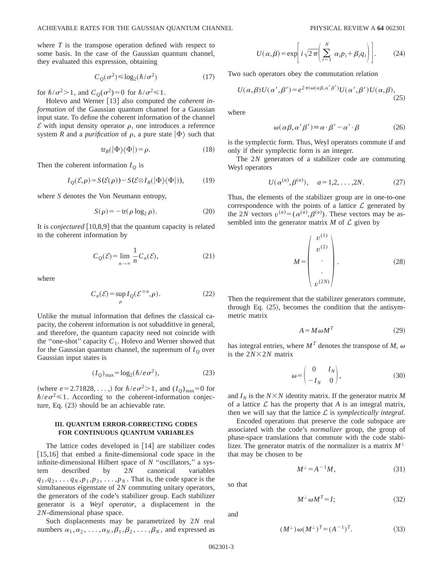where *T* is the transpose operation defined with respect to some basis. In the case of the Gaussian quantum channel, they evaluated this expression, obtaining

$$
C_{Q}(\sigma^{2}) \le \log_{2}(\hbar/\sigma^{2})
$$
 (17)

for  $\hbar/\sigma^2>1$ , and  $C_Q(\sigma^2)=0$  for  $\hbar/\sigma^2\leq 1$ .

Holevo and Werner [13] also computed the *coherent information* of the Gaussian quantum channel for a Gaussian input state. To define the coherent information of the channel  $\mathcal E$  with input density operator  $\rho$ , one introduces a reference system *R* and a *purification* of  $\rho$ , a pure state  $|\Phi\rangle$  such that

$$
\text{tr}_R(|\Phi\rangle\langle\Phi|) = \rho. \tag{18}
$$

Then the coherent information  $I<sub>O</sub>$  is

$$
I_{Q}(\mathcal{E}, \rho) = S(\mathcal{E}(\rho)) - S(\mathcal{E} \otimes I_{R}(|\Phi\rangle\langle\Phi|)),
$$
 (19)

where *S* denotes the Von Neumann entropy,

$$
S(\rho) = -\operatorname{tr}(\rho \log_2 \rho). \tag{20}
$$

It is *conjectured*  $[10,8,9]$  that the quantum capacity is related to the coherent information by

$$
C_{\mathcal{Q}}(\mathcal{E}) = \lim_{n \to \infty} \frac{1}{n} C_n(\mathcal{E}),
$$
\n(21)

where

$$
C_n(\mathcal{E}) = \sup_{\rho} I_{\mathcal{Q}}(\mathcal{E}^{\otimes n}, \rho). \tag{22}
$$

Unlike the mutual information that defines the classical capacity, the coherent information is not subadditive in general, and therefore, the quantum capacity need not coincide with the "one-shot" capacity  $C_1$ . Holevo and Werner showed that for the Gaussian quantum channel, the supremum of  $I<sub>O</sub>$  over Gaussian input states is

$$
(I_Q)_{\text{max}} = \log_2(\hbar / e \sigma^2),\tag{23}
$$

(where *e* = 2.71828, ...,) for  $\hbar/e\sigma^2 > 1$ , and  $(I_Q)_{\text{max}} = 0$  for  $\hbar/e\sigma^2 \leq 1$ . According to the coherent-information conjecture, Eq.  $(23)$  should be an achievable rate.

## **III. QUANTUM ERROR-CORRECTING CODES FOR CONTINUOUS QUANTUM VARIABLES**

The lattice codes developed in  $[14]$  are stabilizer codes  $[15,16]$  that embed a finite-dimensional code space in the infinite-dimensional Hilbert space of *N* ''oscillators,'' a system described by 2*N* canonical variables  $q_1, q_2, \ldots, q_N, p_1, p_2, \ldots, p_N$ . That is, the code space is the simultaneous eigenstate of 2*N* commuting unitary operators, the generators of the code's stabilizer group. Each stabilizer generator is a *Weyl operator*, a displacement in the 2*N*-dimensional phase space.

Such displacements may be parametrized by 2*N* real numbers  $\alpha_1, \alpha_2, \ldots, \alpha_N, \beta_1, \beta_2, \ldots, \beta_N$ , and expressed as

$$
U(\alpha, \beta) = \exp\left[i\sqrt{2\pi}\left(\sum_{i=1}^{N} \alpha_{i} p_{i} + \beta_{i} q_{i}\right)\right].
$$
 (24)

Two such operators obey the commutation relation

$$
U(\alpha, \beta)U(\alpha', \beta') = e^{2\pi i \omega(\alpha\beta, \alpha'\beta')}U(\alpha', \beta')U(\alpha, \beta),
$$
\n(25)

where

$$
\omega(\alpha \beta, \alpha' \beta') \equiv \alpha \cdot \beta' - \alpha' \cdot \beta \tag{26}
$$

is the symplectic form. Thus, Weyl operators commute if and only if their symplectic form is an integer.

The 2*N* generators of a stabilizer code are commuting Weyl operators

$$
U(\alpha^{(a)}, \beta^{(a)}), \quad a = 1, 2, \ldots, 2N.
$$
 (27)

Thus, the elements of the stabilizer group are in one-to-one correspondence with the points of a lattice  $\mathcal L$  generated by the 2*N* vectors  $v^{(a)} = (\alpha^{(a)}, \beta^{(a)})$ . These vectors may be assembled into the generator matrix  $M$  of  $\mathcal L$  given by

$$
M = \begin{pmatrix} v^{(1)} \\ v^{(2)} \\ \cdot \\ \cdot \\ v^{(2N)} \end{pmatrix} .
$$
 (28)

Then the requirement that the stabilizer generators commute, through Eq.  $(25)$ , becomes the condition that the antisymmetric matrix

$$
A = M \,\omega M^T \tag{29}
$$

has integral entries, where  $M<sup>T</sup>$  denotes the transpose of *M*,  $\omega$ is the  $2N\times2N$  matrix

$$
\omega = \begin{pmatrix} 0 & I_N \\ -I_N & 0 \end{pmatrix}, \tag{30}
$$

and  $I_N$  is the  $N \times N$  identity matrix. If the generator matrix M of a lattice  $\mathcal L$  has the property that  $A$  is an integral matrix, then we will say that the lattice L is *symplectically integral*.

Encoded operations that preserve the code subspace are associated with the code's *normalizer* group, the group of phase-space translations that commute with the code stabilizer. The generator matrix of the normalizer is a matrix  $M^{\perp}$ that may be chosen to be

$$
M^{\perp} = A^{-1}M,\tag{31}
$$

so that

$$
M^{\perp} \omega M^T = I; \tag{32}
$$

and

$$
(M^{\perp})\omega(M^{\perp})^T = (A^{-1})^T.
$$
 (33)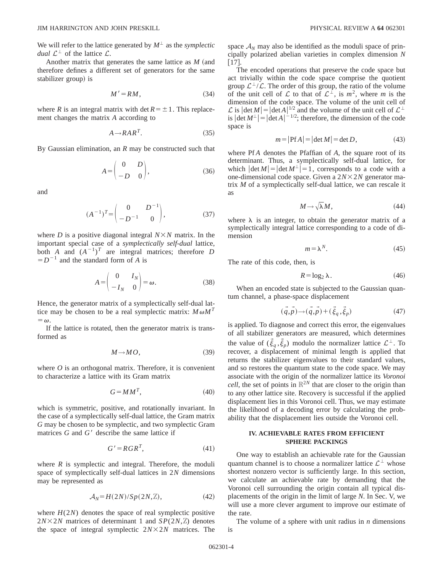We will refer to the lattice generated by  $M^{\perp}$  as the *symplectic dual*  $\mathcal{L}^{\perp}$  of the lattice  $\mathcal{L}$ .

Another matrix that generates the same lattice as  $M$  (and therefore defines a different set of generators for the same stabilizer group) is

$$
M' = RM,\tag{34}
$$

where *R* is an integral matrix with det  $R = \pm 1$ . This replacement changes the matrix *A* according to

$$
A \longrightarrow RAR^T. \tag{35}
$$

By Gaussian elimination, an *R* may be constructed such that

$$
A = \begin{pmatrix} 0 & D \\ -D & 0 \end{pmatrix}, \tag{36}
$$

and

$$
(A^{-1})^T = \begin{pmatrix} 0 & D^{-1} \\ -D^{-1} & 0 \end{pmatrix}, \tag{37}
$$

where *D* is a positive diagonal integral  $N \times N$  matrix. In the important special case of a *symplectically self-dual* lattice, both *A* and  $(A^{-1})^T$  are integral matrices; therefore *D*  $=D^{-1}$  and the standard form of *A* is

$$
A = \begin{pmatrix} 0 & I_N \\ -I_N & 0 \end{pmatrix} = \omega.
$$
 (38)

Hence, the generator matrix of a symplectically self-dual lattice may be chosen to be a real symplectic matrix:  $M \omega M^T$  $=\omega$ .

If the lattice is rotated, then the generator matrix is transformed as

$$
M \to MO, \tag{39}
$$

where *O* is an orthogonal matrix. Therefore, it is convenient to characterize a lattice with its Gram matrix

$$
G = MM^T,\tag{40}
$$

which is symmetric, positive, and rotationally invariant. In the case of a symplectically self-dual lattice, the Gram matrix *G* may be chosen to be symplectic, and two symplectic Gram matrices  $G$  and  $G'$  describe the same lattice if

$$
G' = RGR^T,\tag{41}
$$

where  $R$  is symplectic and integral. Therefore, the moduli space of symplectically self-dual lattices in 2*N* dimensions may be represented as

$$
\mathcal{A}_N = H(2N)/Sp(2N,\mathbb{Z}),\tag{42}
$$

where  $H(2N)$  denotes the space of real symplectic positive  $2N \times 2N$  matrices of determinant 1 and  $SP(2N, \mathbb{Z})$  denotes the space of integral symplectic  $2N\times 2N$  matrices. The space  $A_N$  may also be identified as the moduli space of principally polarized abelian varieties in complex dimension *N*  $[17]$ .

The encoded operations that preserve the code space but act trivially within the code space comprise the quotient group  $\mathcal{L}^{\perp}/\mathcal{L}$ . The order of this group, the ratio of the volume of the unit cell of  $\mathcal L$  to that of  $\mathcal L^{\perp}$ , is  $m^2$ , where m is the dimension of the code space. The volume of the unit cell of L is  $|\det M| = |\det A|^{1/2}$  and the volume of the unit cell of  $\mathcal{L}^{\perp}$  is  $|\det M^{\perp}| = |\det A|^{-1/2}$ ; therefore, the dimension of the code space is

$$
m = |\text{Pf }A| = |\det M| = \det D,\tag{43}
$$

where Pf *A* denotes the Pfaffian of *A*, the square root of its determinant. Thus, a symplectically self-dual lattice, for which  $|\det M| = |\det M^{\perp}| = 1$ , corresponds to a code with a one-dimensional code space. Given a  $2N\times 2N$  generator matrix *M* of a symplectically self-dual lattice, we can rescale it as

$$
M \to \sqrt{\lambda} M, \tag{44}
$$

where  $\lambda$  is an integer, to obtain the generator matrix of a symplectically integral lattice corresponding to a code of dimension

$$
m = \lambda^N. \tag{45}
$$

The rate of this code, then, is

$$
R = \log_2 \lambda. \tag{46}
$$

When an encoded state is subjected to the Gaussian quantum channel, a phase-space displacement

$$
(\vec{q}, \vec{p}) \rightarrow (\vec{q}, \vec{p}) + (\vec{\xi}_q, \vec{\xi}_p) \tag{47}
$$

is applied. To diagnose and correct this error, the eigenvalues of all stabilizer generators are measured, which determines the value of  $(\xi_q, \xi_p)$  modulo the normalizer lattice  $\mathcal{L}^{\perp}$ . To recover, a displacement of minimal length is applied that returns the stabilizer eigenvalues to their standard values, and so restores the quantum state to the code space. We may associate with the origin of the normalizer lattice its *Voronoi cell*, the set of points in  $\mathbb{R}^{2N}$  that are closer to the origin than to any other lattice site. Recovery is successful if the applied displacement lies in this Voronoi cell. Thus, we may estimate the likelihood of a decoding error by calculating the probability that the displacement lies outside the Voronoi cell.

# **IV. ACHIEVABLE RATES FROM EFFICIENT SPHERE PACKINGS**

One way to establish an achievable rate for the Gaussian quantum channel is to choose a normalizer lattice  $\mathcal{L}^{\perp}$  whose shortest nonzero vector is sufficiently large. In this section, we calculate an achievable rate by demanding that the Voronoi cell surrounding the origin contain all typical displacements of the origin in the limit of large *N*. In Sec. V, we will use a more clever argument to improve our estimate of the rate.

The volume of a sphere with unit radius in *n* dimensions is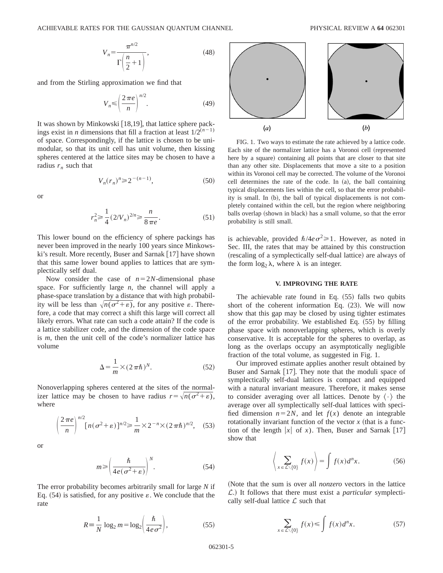$$
V_n = \frac{\pi^{n/2}}{\Gamma\left(\frac{n}{2} + 1\right)},\tag{48}
$$

and from the Stirling approximation we find that

$$
V_n \le \left(\frac{2\pi e}{n}\right)^{n/2}.\tag{49}
$$

It was shown by Minkowski [18,19], that lattice sphere packings exist in *n* dimensions that fill a fraction at least  $1/2^{(n-1)}$ of space. Correspondingly, if the lattice is chosen to be unimodular, so that its unit cell has unit volume, then kissing spheres centered at the lattice sites may be chosen to have a radius  $r_n$  such that

$$
V_n(r_n)^n \ge 2^{-(n-1)},
$$
\n(50)

or

$$
r_n^2 \ge \frac{1}{4} (2/V_n)^{2/n} \ge \frac{n}{8 \pi e}.
$$
 (51)

This lower bound on the efficiency of sphere packings has never been improved in the nearly 100 years since Minkowski's result. More recently, Buser and Sarnak  $[17]$  have shown that this same lower bound applies to lattices that are symplectically self dual.

Now consider the case of  $n=2N$ -dimensional phase space. For sufficiently large *n*, the channel will apply a phase-space translation by a distance that with high probability will be less than  $\sqrt{n(\sigma^2 + \varepsilon)}$ , for any positive  $\varepsilon$ . Therefore, a code that may correct a shift this large will correct all likely errors. What rate can such a code attain? If the code is a lattice stabilizer code, and the dimension of the code space is *m*, then the unit cell of the code's normalizer lattice has volume

$$
\Delta = \frac{1}{m} \times (2\pi\hbar)^N.
$$
 (52)

Nonoverlapping spheres centered at the sites of the normalizer lattice may be chosen to have radius  $r=\sqrt{n(\sigma^2+\varepsilon)}$ , where

$$
\left(\frac{2\pi e}{n}\right)^{n/2} [n(\sigma^2 + \varepsilon)]^{n/2} \ge \frac{1}{m} \times 2^{-n} \times (2\pi\hbar)^{n/2}, \quad (53)
$$

or

$$
m \ge \left(\frac{\hbar}{4e(\sigma^2 + \varepsilon)}\right)^N.
$$
 (54)

The error probability becomes arbitrarily small for large *N* if Eq.  $(54)$  is satisfied, for any positive  $\varepsilon$ . We conclude that the rate

$$
R \equiv \frac{1}{N} \log_2 m = \log_2 \left( \frac{\hbar}{4e\sigma^2} \right),\tag{55}
$$



FIG. 1. Two ways to estimate the rate achieved by a lattice code. Each site of the normalizer lattice has a Voronoi cell (represented here by a square) containing all points that are closer to that site than any other site. Displacements that move a site to a position within its Voronoi cell may be corrected. The volume of the Voronoi cell determines the rate of the code. In  $(a)$ , the ball containing typical displacements lies within the cell, so that the error probability is small. In (b), the ball of typical displacements is not completely contained within the cell, but the region where neighboring balls overlap (shown in black) has a small volume, so that the error probability is still small.

is achievable, provided  $\hbar/4e\sigma^2 \ge 1$ . However, as noted in Sec. III, the rates that may be attained by this construction (rescaling of a symplectically self-dual lattice) are always of the form  $\log_2 \lambda$ , where  $\lambda$  is an integer.

### **V. IMPROVING THE RATE**

The achievable rate found in Eq.  $(55)$  falls two qubits short of the coherent information Eq.  $(23)$ . We will now show that this gap may be closed by using tighter estimates of the error probability. We established Eq.  $(55)$  by filling phase space with nonoverlapping spheres, which is overly conservative. It is acceptable for the spheres to overlap, as long as the overlaps occupy an asymptotically negligible fraction of the total volume, as suggested in Fig. 1.

Our improved estimate applies another result obtained by Buser and Sarnak  $[17]$ . They note that the moduli space of symplectically self-dual lattices is compact and equipped with a natural invariant measure. Therefore, it makes sense to consider averaging over all lattices. Denote by  $\langle \cdot \rangle$  the average over all symplectically self-dual lattices with specified dimension  $n=2N$ , and let  $f(x)$  denote an integrable rotationally invariant function of the vector  $x$  (that is a function of the length  $|x|$  of *x*). Then, Buser and Sarnak [17] show that

$$
\left\langle \sum_{x \in \mathcal{L} \setminus \{0\}} f(x) \right\rangle = \int f(x) d^n x. \tag{56}
$$

(Note that the sum is over all *nonzero* vectors in the lattice L.! It follows that there must exist a *particular* symplectically self-dual lattice  $\mathcal L$  such that

$$
\sum_{x \in \mathcal{L}\setminus\{0\}} f(x) \le \int f(x) d^n x. \tag{57}
$$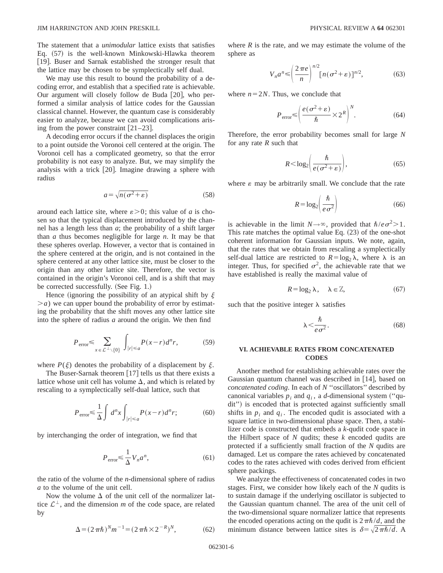The statement that a *unimodular* lattice exists that satisfies Eq.  $(57)$  is the well-known Minkowski-Hlawka theorem [19]. Buser and Sarnak established the stronger result that the lattice may be chosen to be symplectically self dual.

We may use this result to bound the probability of a decoding error, and establish that a specified rate is achievable. Our argument will closely follow de Buda  $[20]$ , who performed a similar analysis of lattice codes for the Gaussian classical channel. However, the quantum case is considerably easier to analyze, because we can avoid complications arising from the power constraint  $[21-23]$ .

A decoding error occurs if the channel displaces the origin to a point outside the Voronoi cell centered at the origin. The Voronoi cell has a complicated geometry, so that the error probability is not easy to analyze. But, we may simplify the analysis with a trick  $[20]$ . Imagine drawing a sphere with radius

$$
a = \sqrt{n(\sigma^2 + \varepsilon)}\tag{58}
$$

around each lattice site, where  $\varepsilon > 0$ ; this value of *a* is chosen so that the typical displacement introduced by the channel has a length less than *a*; the probability of a shift larger than *a* thus becomes negligible for large *n*. It may be that these spheres overlap. However, a vector that is contained in the sphere centered at the origin, and is not contained in the sphere centered at any other lattice site, must be closer to the origin than any other lattice site. Therefore, the vector is contained in the origin's Voronoi cell, and is a shift that may be corrected successfully.  $(See Fig. 1.)$ 

Hence (ignoring the possibility of an atypical shift by  $\xi$  $\geq a$ ) we can upper bound the probability of error by estimating the probability that the shift moves any other lattice site into the sphere of radius *a* around the origin. We then find

$$
P_{\text{error}} \leq \sum_{x \in \mathcal{L}^{\perp} \setminus \{0\}} \int_{|r| \leq a} P(x-r) d^n r,\tag{59}
$$

where  $P(\xi)$  denotes the probability of a displacement by  $\xi$ .

The Buser-Sarnak theorem  $[17]$  tells us that there exists a lattice whose unit cell has volume  $\Delta$ , and which is related by rescaling to a symplectically self-dual lattice, such that

$$
P_{\text{error}} \leq \frac{1}{\Delta} \int d^n x \int_{|r| \leq a} P(x-r) d^n r; \tag{60}
$$

by interchanging the order of integration, we find that

$$
P_{\text{error}} \leq \frac{1}{\Delta} V_n a^n,\tag{61}
$$

the ratio of the volume of the *n*-dimensional sphere of radius *a* to the volume of the unit cell.

Now the volume  $\Delta$  of the unit cell of the normalizer lattice  $\mathcal{L}^{\perp}$ , and the dimension *m* of the code space, are related by

$$
\Delta = (2\pi\hbar)^{N} m^{-1} = (2\pi\hbar \times 2^{-R})^{N},
$$
 (62)

where  $R$  is the rate, and we may estimate the volume of the sphere as

$$
V_n a^n \leq \left(\frac{2\pi e}{n}\right)^{n/2} \left[n(\sigma^2 + \varepsilon)\right]^{n/2},\tag{63}
$$

where  $n=2N$ . Thus, we conclude that

$$
P_{\text{error}} \leq \left(\frac{e(\sigma^2 + \varepsilon)}{\hbar} \times 2^R\right)^N. \tag{64}
$$

Therefore, the error probability becomes small for large *N* for any rate *R* such that

$$
R < \log_2\left(\frac{\hbar}{e(\sigma^2 + \varepsilon)}\right),\tag{65}
$$

where  $\varepsilon$  may be arbitrarily small. We conclude that the rate

$$
R = \log_2 \left( \frac{\hbar}{e \sigma^2} \right) \tag{66}
$$

is achievable in the limit  $N \rightarrow \infty$ , provided that  $\hbar/e\sigma^2 > 1$ . This rate matches the optimal value Eq.  $(23)$  of the one-shot coherent information for Gaussian inputs. We note, again, that the rates that we obtain from rescaling a symplectically self-dual lattice are restricted to  $R = \log_2 \lambda$ , where  $\lambda$  is an integer. Thus, for specified  $\sigma^2$ , the achievable rate that we have established is really the maximal value of

$$
R = \log_2 \lambda, \quad \lambda \in \mathbb{Z}, \tag{67}
$$

such that the positive integer  $\lambda$  satisfies

$$
\lambda < \frac{\hbar}{e\,\sigma^2}.\tag{68}
$$

### **VI. ACHIEVABLE RATES FROM CONCATENATED CODES**

Another method for establishing achievable rates over the Gaussian quantum channel was described in  $[14]$ , based on *concatenated coding*. In each of *N* ''oscillators'' described by canonical variables  $p_i$  and  $q_i$ , a *d*-dimensional system ("qudit") is encoded that is protected against sufficiently small shifts in  $p_i$  and  $q_i$ . The encoded qudit is associated with a square lattice in two-dimensional phase space. Then, a stabilizer code is constructed that embeds a *k*-qudit code space in the Hilbert space of *N* qudits; these *k* encoded qudits are protected if a sufficiently small fraction of the *N* qudits are damaged. Let us compare the rates achieved by concatenated codes to the rates achieved with codes derived from efficient sphere packings.

We analyze the effectiveness of concatenated codes in two stages. First, we consider how likely each of the *N* qudits is to sustain damage if the underlying oscillator is subjected to the Gaussian quantum channel. The area of the unit cell of the two-dimensional square normalizer lattice that represents the encoded operations acting on the qudit is  $2\pi\hbar/d$ , and the minimum distance between lattice sites is  $\delta = \sqrt{2\pi\hbar/d}$ . A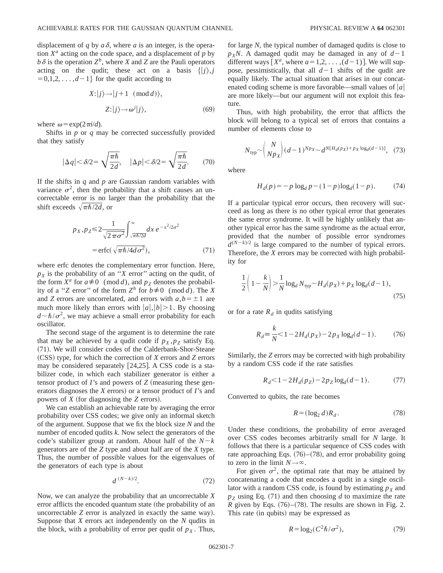displacement of *q* by  $a\delta$ , where *a* is an integer, is the operation  $X^a$  acting on the code space, and a displacement of  $p$  by  $b\delta$  is the operation  $Z^b$ , where *X* and *Z* are the Pauli operators acting on the qudit; these act on a basis  $\{|j\rangle, j\}$  $=0,1,2,\ldots,d-1$ } for the qudit according to

$$
X:|j\rangle \rightarrow |j+1 \pmod{d},
$$
  

$$
Z:|j\rangle \rightarrow \omega^j|j\rangle,
$$
 (69)

where  $\omega = \exp(2\pi i/d)$ .

Shifts in *p* or *q* may be corrected successfully provided that they satisfy

$$
|\Delta q| < \delta/2 = \sqrt{\frac{\pi \hbar}{2d}}, \quad |\Delta p| < \delta/2 = \sqrt{\frac{\pi \hbar}{2d}}.\tag{70}
$$

If the shifts in *q* and *p* are Gaussian random variables with variance  $\sigma^2$ , then the probability that a shift causes an uncorrectable error is no larger than the probability that the shift exceeds  $\sqrt{\pi\hbar/2d}$ , or

$$
p_X, p_Z \le 2 \frac{1}{\sqrt{2\pi\sigma^2}} \int_{\sqrt{\pi\hbar/2d}}^{\infty} dx \, e^{-x^2/2\sigma^2}
$$
  
=  $\text{erfc}(\sqrt{\pi\hbar/4d\sigma^2}),$  (71)

where erfc denotes the complementary error function. Here,  $p_X$  is the probability of an "*X* error" acting on the qudit, of the form  $X^a$  for  $a \neq 0 \pmod{d}$ , and  $p_Z$  denotes the probability of a "*Z* error" of the form  $Z^b$  for  $b \neq 0 \pmod{d}$ . The *X* and *Z* errors are uncorrelated, and errors with  $a, b = \pm 1$  are much more likely than errors with  $|a|, |b| > 1$ . By choosing  $d \sim \hbar/\sigma^2$ , we may achieve a small error probability for each oscillator.

The second stage of the argument is to determine the rate that may be achieved by a qudit code if  $p_X, p_Z$  satisfy Eq. (71). We will consider codes of the Calderbank-Shor-Steane ~CSS! type, for which the correction of *X* errors and *Z* errors may be considered separately  $[24,25]$ . A CSS code is a stabilizer code, in which each stabilizer generator is either a tensor product of  *and powers of*  $*Z*$  *(measuring these gen*erators diagnoses the *X* errors) or a tensor product of *I*'s and powers of  $X$  (for diagnosing the  $Z$  errors).

We can establish an achievable rate by averaging the error probability over CSS codes; we give only an informal sketch of the argument. Suppose that we fix the block size *N* and the number of encoded qudits *k*. Now select the generators of the code's stabilizer group at random. About half of the  $N-k$ generators are of the *Z* type and about half are of the *X* type. Thus, the number of possible values for the eigenvalues of the generators of each type is about

$$
d^{(N-k)/2}.\tag{72}
$$

Now, we can analyze the probability that an uncorrectable *X* error afflicts the encoded quantum state (the probability of an uncorrectable *Z* error is analyzed in exactly the same way). Suppose that *X* errors act independently on the *N* qudits in the block, with a probability of error per qudit of  $p<sub>X</sub>$ . Thus, for large *N*, the typical number of damaged qudits is close to  $p_X$ *N*. A damaged qudit may be damaged in any of  $d-1$ different ways  $[X^a$ , where  $a=1,2,\ldots,(d-1)$ . We will suppose, pessimistically, that all  $d-1$  shifts of the qudit are equally likely. The actual situation that arises in our concatenated coding scheme is more favorable—small values of  $|a|$ are more likely—but our argument will not exploit this feature.

Thus, with high probability, the error that afflicts the block will belong to a typical set of errors that contains a number of elements close to

$$
N_{\text{typ}} \sim \binom{N}{N p_X} (d-1)^{N p_X} \sim d^{N [H_d(p_X) + p_X \log_d(d-1)]}, \quad (73)
$$

where

$$
H_d(p) = -p \log_d p - (1-p) \log_d (1-p). \tag{74}
$$

If a particular typical error occurs, then recovery will succeed as long as there is no other typical error that generates the same error syndrome. It will be highly unlikely that another typical error has the same syndrome as the actual error, provided that the number of possible error syndromes  $d^{(N-k)/2}$  is large compared to the number of typical errors. Therefore, the *X* errors may be corrected with high probability for

$$
\frac{1}{2}\left(1 - \frac{k}{N}\right) > \frac{1}{N}\log_d N_{\text{typ}} \sim H_d(p_X) + p_X \log_d(d-1),\tag{75}
$$

or for a rate  $R_d$  in qudits satisfying

$$
R_d = \frac{k}{N} < 1 - 2H_d(p_X) - 2p_X \log_d(d - 1). \tag{76}
$$

Similarly, the *Z* errors may be corrected with high probability by a random CSS code if the rate satisfies

$$
R_d < 1 - 2H_d(p_Z) - 2p_Z \log_d(d-1). \tag{77}
$$

Converted to qubits, the rate becomes

$$
R = (\log_2 d) R_d. \tag{78}
$$

Under these conditions, the probability of error averaged over CSS codes becomes arbitrarily small for *N* large. It follows that there is a particular sequence of CSS codes with rate approaching Eqs.  $(76)$ – $(78)$ , and error probability going to zero in the limit  $N \rightarrow \infty$ .

For given  $\sigma^2$ , the optimal rate that may be attained by concatenating a code that encodes a qudit in a single oscillator with a random CSS code, is found by estimating  $p<sub>X</sub>$  and  $p_Z$  using Eq. (71) and then choosing *d* to maximize the rate *R* given by Eqs.  $(76)$ – $(78)$ . The results are shown in Fig. 2. This rate (in qubits) may be expressed as

$$
R = \log_2(C^2 \hbar / \sigma^2),\tag{79}
$$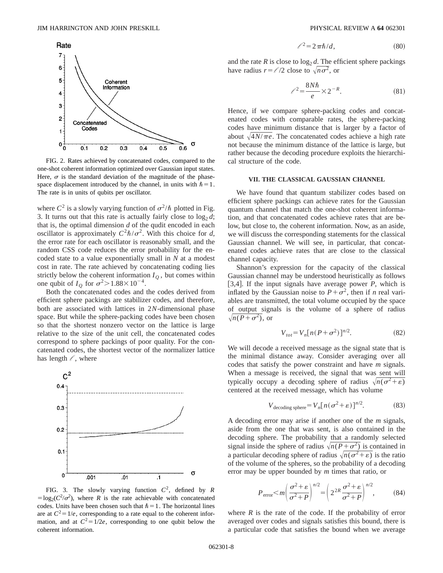

FIG. 2. Rates achieved by concatenated codes, compared to the one-shot coherent information optimized over Gaussian input states. Here,  $\sigma$  is the standard deviation of the magnitude of the phasespace displacement introduced by the channel, in units with  $\hbar=1$ . The rate is in units of qubits per oscillator.

where  $C^2$  is a slowly varying function of  $\sigma^2/\hbar$  plotted in Fig. 3. It turns out that this rate is actually fairly close to  $log_2 d$ ; that is, the optimal dimension *d* of the qudit encoded in each oscillator is approximately  $C^2\hbar/\sigma^2$ . With this choice for *d*, the error rate for each oscillator is reasonably small, and the random CSS code reduces the error probability for the encoded state to a value exponentially small in *N* at a modest cost in rate. The rate achieved by concatenating coding lies strictly below the coherent information  $I_Q$ , but comes within one qubit of  $I<sub>O</sub>$  for  $\sigma^2 > 1.88 \times 10^{-4}$ .

Both the concatenated codes and the codes derived from efficient sphere packings are stabilizer codes, and therefore, both are associated with lattices in 2*N*-dimensional phase space. But while the sphere-packing codes have been chosen so that the shortest nonzero vector on the lattice is large relative to the size of the unit cell, the concatenated codes correspond to sphere packings of poor quality. For the concatenated codes, the shortest vector of the normalizer lattice has length  $\ell$ , where



FIG. 3. The slowly varying function *C*2, defined by *R*  $=$ log<sub>2</sub>( $C^2/\sigma^2$ ), where *R* is the rate achievable with concatenated codes. Units have been chosen such that  $\hbar = 1$ . The horizontal lines are at  $C^2 = 1/e$ , corresponding to a rate equal to the coherent information, and at  $C^2 = 1/2e$ , corresponding to one qubit below the coherent information.

$$
\ell^2 = 2\pi\hbar/d,\tag{80}
$$

and the rate  $R$  is close to  $\log_2 d$ . The efficient sphere packings have radius  $r = \ell/2$  close to  $\sqrt{n\sigma^2}$ , or

$$
\ell^2 = \frac{8N\hbar}{e} \times 2^{-R}.\tag{81}
$$

Hence, if we compare sphere-packing codes and concatenated codes with comparable rates, the sphere-packing codes have minimum distance that is larger by a factor of about  $\sqrt{4N/\pi e}$ . The concatenated codes achieve a high rate not because the minimum distance of the lattice is large, but rather because the decoding procedure exploits the hierarchical structure of the code.

#### **VII. THE CLASSICAL GAUSSIAN CHANNEL**

We have found that quantum stabilizer codes based on efficient sphere packings can achieve rates for the Gaussian quantum channel that match the one-shot coherent information, and that concatenated codes achieve rates that are below, but close to, the coherent information. Now, as an aside, we will discuss the corresponding statements for the classical Gaussian channel. We will see, in particular, that concatenated codes achieve rates that are close to the classical channel capacity.

Shannon's expression for the capacity of the classical Gaussian channel may be understood heuristically as follows [3,4]. If the input signals have average power  $P$ , which is inflated by the Gaussian noise to  $P + \sigma^2$ , then if *n* real variables are transmitted, the total volume occupied by the space of output signals is the volume of a sphere of radius  $\sqrt{n(P+\sigma^2)}$ , or

$$
V_{tot} = V_n [n(P + \sigma^2)]^{n/2}.
$$
 (82)

We will decode a received message as the signal state that is the minimal distance away. Consider averaging over all codes that satisfy the power constraint and have *m* signals. When a message is received, the signal that was sent will typically occupy a decoding sphere of radius  $\sqrt{n(\sigma^2 + \varepsilon)}$ centered at the received message, which has volume

$$
V_{\text{decoding sphere}} = V_n [n(\sigma^2 + \varepsilon)]^{n/2}.
$$
 (83)

A decoding error may arise if another one of the *m* signals, aside from the one that was sent, is also contained in the decoding sphere. The probability that a randomly selected signal inside the sphere of radius  $\sqrt{n(P+\sigma^2)}$  is contained in a particular decoding sphere of radius  $\sqrt{n(\sigma^2 + \varepsilon)}$  is the ratio of the volume of the spheres, so the probability of a decoding error may be upper bounded by *m* times that ratio, or

$$
P_{\text{error}} < m \left( \frac{\sigma^2 + \varepsilon}{\sigma^2 + P} \right)^{n/2} = \left( 2^{2R} \frac{\sigma^2 + \varepsilon}{\sigma^2 + P} \right)^{n/2}, \tag{84}
$$

where  $R$  is the rate of the code. If the probability of error averaged over codes and signals satisfies this bound, there is a particular code that satisfies the bound when we average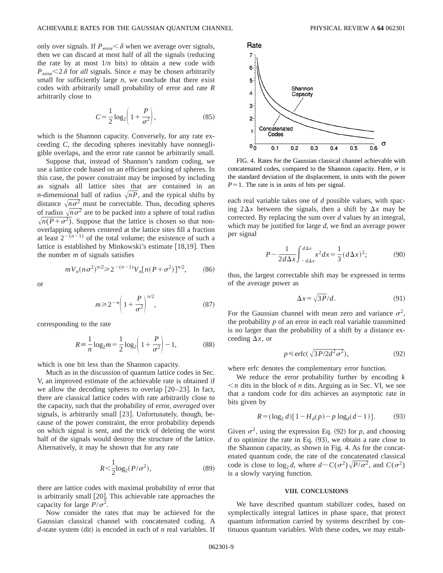only over signals. If  $P_{\text{error}} < \delta$  when we average over signals, then we can discard at most half of all the signals (reducing the rate by at most  $1/n$  bits) to obtain a new code with  $P_{\text{error}}$  < 2 $\delta$  for *all* signals. Since  $\varepsilon$  may be chosen arbitrarily small for sufficiently large  $n$ , we conclude that there exist codes with arbitrarily small probability of error and rate *R* arbitrarily close to

$$
C = \frac{1}{2} \log_2 \left( 1 + \frac{P}{\sigma^2} \right),\tag{85}
$$

which is the Shannon capacity. Conversely, for any rate exceeding *C*, the decoding spheres inevitably have nonnegligible overlaps, and the error rate cannot be arbitrarily small.

Suppose that, instead of Shannon's random coding, we use a lattice code based on an efficient packing of spheres. In this case, the power constraint may be imposed by including as signals all lattice sites that are contained in an *n*-dimensional ball of radius  $\sqrt{n}P$ , and the typical shifts by distance  $\sqrt{n\sigma^2}$  must be correctable. Thus, decoding spheres of radius  $\sqrt{n\sigma^2}$  are to be packed into a sphere of total radius  $\sqrt{n(P+\sigma^2)}$ . Suppose that the lattice is chosen so that nonoverlapping spheres centered at the lattice sites fill a fraction at least  $2^{-(n-1)}$  of the total volume; the existence of such a lattice is established by Minkowski's estimate  $[18,19]$ . Then the number *m* of signals satisfies

$$
mV_n(n\sigma^2)^{n/2} \ge 2^{-(n-1)}V_n[n(P+\sigma^2)]^{n/2},\qquad(86)
$$

or

$$
m \ge 2^{-n} \left( 1 + \frac{P}{\sigma^2} \right)^{n/2},\tag{87}
$$

corresponding to the rate

$$
R = \frac{1}{n} \log_2 m = \frac{1}{2} \log_2 \left( 1 + \frac{P}{\sigma^2} \right) - 1,\tag{88}
$$

which is one bit less than the Shannon capacity.

Much as in the discussion of quantum lattice codes in Sec. V, an improved estimate of the achievable rate is obtained if we allow the decoding spheres to overlap  $[20-23]$ . In fact, there are classical lattice codes with rate arbitrarily close to the capacity, such that the probability of error, *averaged* over signals, is arbitrarily small  $[23]$ . Unfortunately, though, because of the power constraint, the error probability depends on which signal is sent, and the trick of deleting the worst half of the signals would destroy the structure of the lattice. Alternatively, it may be shown that for any rate

$$
R < \frac{1}{2} \log_2(P/\sigma^2),\tag{89}
$$

there are lattice codes with maximal probability of error that is arbitrarily small  $[20]$ . This achievable rate approaches the capacity for large  $P/\sigma^2$ .

Now consider the rates that may be achieved for the Gaussian classical channel with concatenated coding. A  $d$ -state system (dit) is encoded in each of  $n$  real variables. If



FIG. 4. Rates for the Gaussian classical channel achievable with concatenated codes, compared to the Shannon capacity. Here,  $\sigma$  is the standard deviation of the displacement, in units with the power  $P=1$ . The rate is in units of bits per signal.

each real variable takes one of *d* possible values, with spacing  $2\Delta x$  between the signals, then a shift by  $\Delta x$  may be corrected. By replacing the sum over *d* values by an integral, which may be justified for large *d*, we find an average power per signal

$$
P \sim \frac{1}{2d\Delta x} \int_{-d\Delta x}^{d\Delta x} x^2 dx = \frac{1}{3} (d\Delta x)^2; \tag{90}
$$

thus, the largest correctable shift may be expressed in terms of the average power as

$$
\Delta x = \sqrt{3P}/d. \tag{91}
$$

For the Gaussian channel with mean zero and variance  $\sigma^2$ , the probability  $p$  of an error in each real variable transmitted is no larger than the probability of a shift by a distance exceeding  $\Delta x$ , or

$$
p \le \text{erfc}(\sqrt{3P/2d^2\sigma^2}),\tag{92}
$$

where erfc denotes the complementary error function.

We reduce the error probability further by encoding *k*  $\leq n$  dits in the block of *n* dits. Arguing as in Sec. VI, we see that a random code for dits achieves an asymptotic rate in bits given by

$$
R = (\log_2 d) [1 - H_d(p) - p \log_d(d - 1)].
$$
 (93)

Given  $\sigma^2$ , using the expression Eq. (92) for *p*, and choosing  $d$  to optimize the rate in Eq.  $(93)$ , we obtain a rate close to the Shannon capacity, as shown in Fig. 4. As for the concatenated quantum code, the rate of the concatenated classical code is close to  $\log_2 d$ , where  $d \sim C(\sigma^2)\sqrt{P/\sigma^2}$ , and  $C(\sigma^2)$ is a slowly varying function.

#### **VIII. CONCLUSIONS**

We have described quantum stabilizer codes, based on symplectically integral lattices in phase space, that protect quantum information carried by systems described by continuous quantum variables. With these codes, we may estab